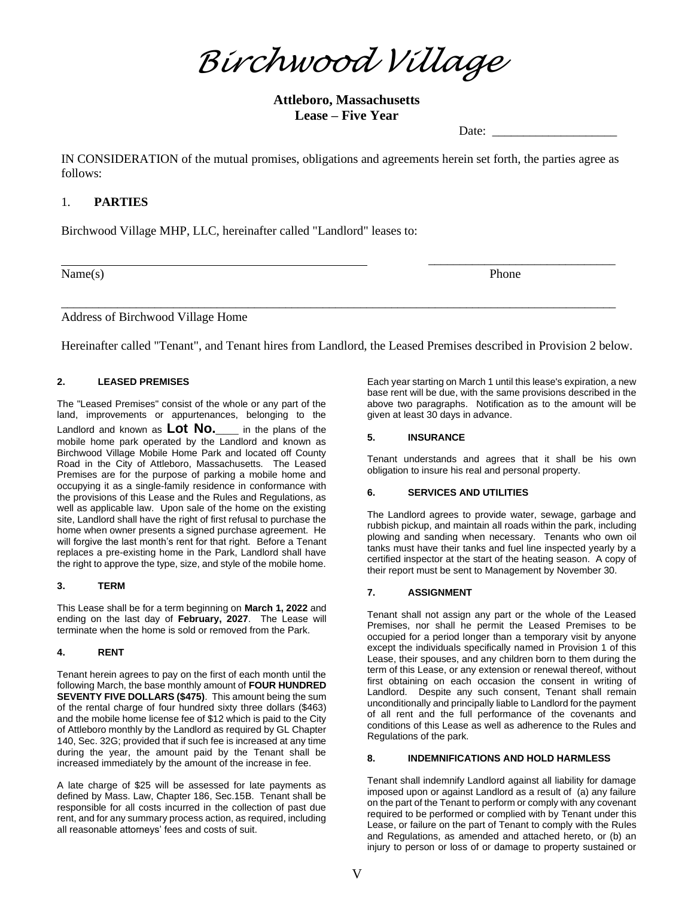*Birchwood Village*

**Attleboro, Massachusetts Lease – Five Year**

Date:

IN CONSIDERATION of the mutual promises, obligations and agreements herein set forth, the parties agree as follows:

# 1. **PARTIES**

Birchwood Village MHP, LLC, hereinafter called "Landlord" leases to:

Name(s) Phone

\_\_\_\_\_\_\_\_\_\_\_\_\_\_\_\_\_\_\_\_\_\_\_\_\_\_\_\_\_\_

Address of Birchwood Village Home

Hereinafter called "Tenant", and Tenant hires from Landlord, the Leased Premises described in Provision 2 below.

\_\_\_\_\_\_\_\_\_\_\_\_\_\_\_\_\_\_\_\_\_\_\_\_\_\_\_\_\_\_\_\_\_\_\_\_\_\_\_\_\_\_\_\_\_\_\_\_\_\_\_\_\_\_\_\_\_\_\_\_\_\_\_\_\_\_\_\_\_\_\_\_\_\_\_\_\_\_\_\_\_\_\_\_\_\_\_\_\_

# **2. LEASED PREMISES**

The "Leased Premises" consist of the whole or any part of the land, improvements or appurtenances, belonging to the Landlord and known as **Lot No.\_\_\_** in the plans of the mobile home park operated by the Landlord and known as Birchwood Village Mobile Home Park and located off County Road in the City of Attleboro, Massachusetts. The Leased Premises are for the purpose of parking a mobile home and occupying it as a single-family residence in conformance with the provisions of this Lease and the Rules and Regulations, as well as applicable law. Upon sale of the home on the existing site, Landlord shall have the right of first refusal to purchase the home when owner presents a signed purchase agreement. He will forgive the last month's rent for that right. Before a Tenant replaces a pre-existing home in the Park, Landlord shall have the right to approve the type, size, and style of the mobile home.

## **3. TERM**

This Lease shall be for a term beginning on **March 1, 2022** and ending on the last day of **February, 2027**. The Lease will terminate when the home is sold or removed from the Park.

## **4. RENT**

Tenant herein agrees to pay on the first of each month until the following March, the base monthly amount of **FOUR HUNDRED SEVENTY FIVE DOLLARS (\$475)**. This amount being the sum of the rental charge of four hundred sixty three dollars (\$463) and the mobile home license fee of \$12 which is paid to the City of Attleboro monthly by the Landlord as required by GL Chapter 140, Sec. 32G; provided that if such fee is increased at any time during the year, the amount paid by the Tenant shall be increased immediately by the amount of the increase in fee.

A late charge of \$25 will be assessed for late payments as defined by Mass. Law, Chapter 186, Sec.15B. Tenant shall be responsible for all costs incurred in the collection of past due rent, and for any summary process action, as required, including all reasonable attorneys' fees and costs of suit.

Each year starting on March 1 until this lease's expiration, a new base rent will be due, with the same provisions described in the above two paragraphs. Notification as to the amount will be given at least 30 days in advance.

## **5. INSURANCE**

Tenant understands and agrees that it shall be his own obligation to insure his real and personal property.

## **6. SERVICES AND UTILITIES**

The Landlord agrees to provide water, sewage, garbage and rubbish pickup, and maintain all roads within the park, including plowing and sanding when necessary. Tenants who own oil tanks must have their tanks and fuel line inspected yearly by a certified inspector at the start of the heating season. A copy of their report must be sent to Management by November 30.

## **7. ASSIGNMENT**

Tenant shall not assign any part or the whole of the Leased Premises, nor shall he permit the Leased Premises to be occupied for a period longer than a temporary visit by anyone except the individuals specifically named in Provision 1 of this Lease, their spouses, and any children born to them during the term of this Lease, or any extension or renewal thereof, without first obtaining on each occasion the consent in writing of Landlord. Despite any such consent, Tenant shall remain unconditionally and principally liable to Landlord for the payment of all rent and the full performance of the covenants and conditions of this Lease as well as adherence to the Rules and Regulations of the park.

## **8. INDEMNIFICATIONS AND HOLD HARMLESS**

Tenant shall indemnify Landlord against all liability for damage imposed upon or against Landlord as a result of (a) any failure on the part of the Tenant to perform or comply with any covenant required to be performed or complied with by Tenant under this Lease, or failure on the part of Tenant to comply with the Rules and Regulations, as amended and attached hereto, or (b) an injury to person or loss of or damage to property sustained or